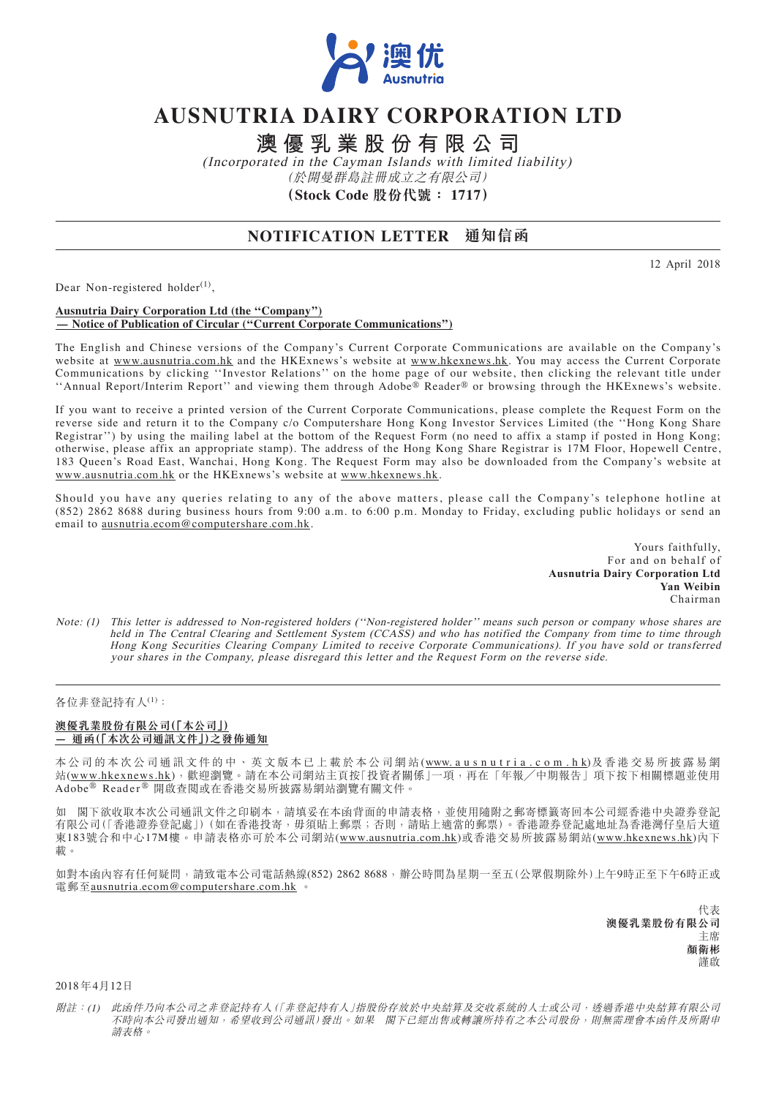

# **AUSNUTRIA DAIRY CORPORATION LTD**

**澳優乳業股份有限公司**

(Incorporated in the Cayman Islands with limited liability) (於開曼群島註冊成立之有限公司) **(Stock Code 股份代號: 1717)**

## **NOTIFICATION LETTER 通知信函**

12 April 2018

Dear Non-registered holder $^{(1)}$ ,

#### **Ausnutria Dairy Corporation Ltd (the ''Company'') — Notice of Publication of Circular (''Current Corporate Communications'')**

The English and Chinese versions of the Company's Current Corporate Communications are available on the Company's website at www.ausnutria.com.hk and the HKExnews's website at www.hkexnews.hk. You may access the Current Corporate Communications by clicking ''Investor Relations'' on the home page of our website, then clicking the relevant title under ''Annual Report/Interim Report'' and viewing them through Adobe® Reader® or browsing through the HKExnews's website.

If you want to receive a printed version of the Current Corporate Communications, please complete the Request Form on the reverse side and return it to the Company c/o Computershare Hong Kong Investor Services Limited (the ''Hong Kong Share Registrar'') by using the mailing label at the bottom of the Request Form (no need to affix a stamp if posted in Hong Kong; otherwise, please affix an appropriate stamp). The address of the Hong Kong Share Registrar is 17M Floor, Hopewell Centre, 183 Queen's Road East, Wanchai, Hong Kong. The Request Form may also be downloaded from the Company's website at www.ausnutria.com.hk or the HKExnews's website at www.hkexnews.hk.

Should you have any queries relating to any of the above matters, please call the Company's telephone hotline at (852) 2862 8688 during business hours from 9:00 a.m. to 6:00 p.m. Monday to Friday, excluding public holidays or send an email to ausnutria.ecom@computershare.com.hk.

> Yours faithfully, For and on behalf of **Ausnutria Dairy Corporation Ltd Yan Weibin** Chairman

Note: (1) This letter is addressed to Non-registered holders (''Non-registered holder'' means such person or company whose shares are held in The Central Clearing and Settlement System (CCASS) and who has notified the Company from time to time through Hong Kong Securities Clearing Company Limited to receive Corporate Communications). If you have sold or transferred your shares in the Company, please disregard this letter and the Request Form on the reverse side.

### 各位非登記持有人(1):

#### **澳優乳業股份有限公司(「本公司」) — 通函(「本次公司通訊文件」)之發佈通知**

本公司的本次公司通訊文件的中、英文版本已上載於本公司網站(www.ausnutria.com.hk)及香港交易所披露易網 站(www.hkexnews.hk),歡迎瀏覽。請在本公司網站主頁按「投資者關係」一項,再在「年報/中期報告」項下按下相關標題並使用 Adobe® Reader ® 開啟查閱或在香港交易所披露易網站瀏覽有關文件。

如 閣下欲收取本次公司通訊文件之印刷本,請填妥在本函背面的申請表格,並使用隨附之郵寄標籤寄回本公司經香港中央證券登記 有限公司(「香港證券登記處」)(如在香港投寄,毋須貼上郵票;否則,請貼上適當的郵票)。香港證券登記處地址為香港灣仔皇后大道 東183號合和中心17M樓。申請表格亦可於本公司網站(www.ausnutria.com.hk)或香港交易所披露易網站(www.hkexnews.hk)內下 載。

如對本函內容有任何疑問,請致電本公司電話熱線(852) 2862 8688,辦公時間為星期一至五(公眾假期除外)上午9時正至下午6時正或 電郵至<u>ausnutria.ecom@computershare.com.hk</u>

> 代表 **澳優乳業股份有限公司** 主席 **顏衛彬** 謹啟

2018 年4月12日

附註:(1) 此函件乃向本公司之非登記持有人(「非登記持有人」指股份存放於中央結算及交收系統的人士或公司,透過香港中央結算有限公司 不時向本公司發出通知,希望收到公司通訊)發出。如果 閣下已經出售或轉讓所持有之本公司股份,則無需理會本函件及所附申 請表格。